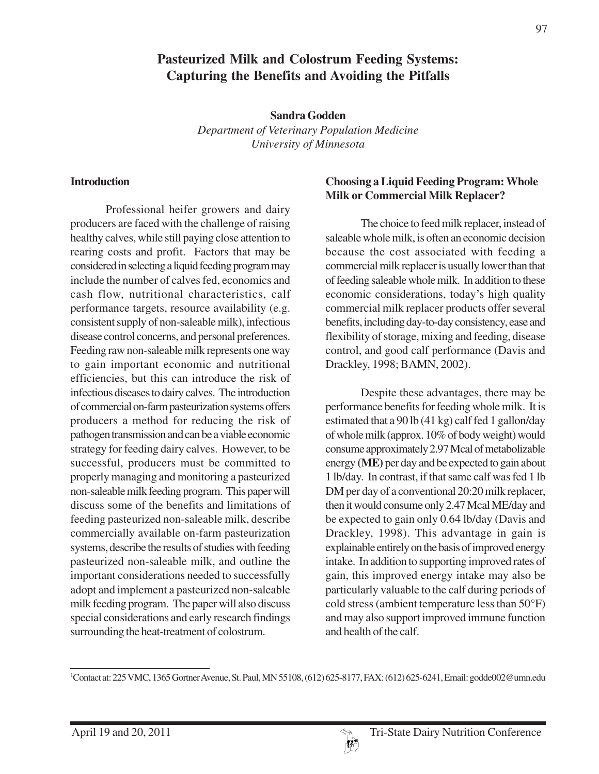# **Pasteurized Milk and Colostrum Feeding Systems: Capturing the Benefits and Avoiding the Pitfalls**

**Sandra Godden** *Department of Veterinary Population Medicine University of Minnesota*

#### **Introduction**

Professional heifer growers and dairy producers are faced with the challenge of raising healthy calves, while still paying close attention to rearing costs and profit. Factors that may be considered in selecting a liquid feeding program may include the number of calves fed, economics and cash flow, nutritional characteristics, calf performance targets, resource availability (e.g. consistent supply of non-saleable milk), infectious disease control concerns, and personal preferences. Feeding raw non-saleable milk represents one way to gain important economic and nutritional efficiencies, but this can introduce the risk of infectious diseases to dairy calves. The introduction of commercial on-farm pasteurization systems offers producers a method for reducing the risk of pathogen transmission and can be a viable economic strategy for feeding dairy calves. However, to be successful, producers must be committed to properly managing and monitoring a pasteurized non-saleable milk feeding program. This paper will discuss some of the benefits and limitations of feeding pasteurized non-saleable milk, describe commercially available on-farm pasteurization systems, describe the results of studies with feeding pasteurized non-saleable milk, and outline the important considerations needed to successfully adopt and implement a pasteurized non-saleable milk feeding program. The paper will also discuss special considerations and early research findings surrounding the heat-treatment of colostrum.

### **Choosing a Liquid Feeding Program: Whole Milk or Commercial Milk Replacer?**

The choice to feed milk replacer, instead of saleable whole milk, is often an economic decision because the cost associated with feeding a commercial milk replacer is usually lower than that of feeding saleable whole milk. In addition to these economic considerations, today's high quality commercial milk replacer products offer several benefits, including day-to-day consistency, ease and flexibility of storage, mixing and feeding, disease control, and good calf performance (Davis and Drackley, 1998; BAMN, 2002).

Despite these advantages, there may be performance benefits for feeding whole milk. It is estimated that a 90 lb (41 kg) calf fed 1 gallon/day of whole milk (approx. 10% of body weight) would consume approximately 2.97 Mcal of metabolizable energy **(ME)** per day and be expected to gain about 1 lb/day. In contrast, if that same calf was fed 1 lb DM per day of a conventional 20:20 milk replacer, then it would consume only 2.47 Mcal ME/day and be expected to gain only 0.64 lb/day (Davis and Drackley, 1998). This advantage in gain is explainable entirely on the basis of improved energy intake. In addition to supporting improved rates of gain, this improved energy intake may also be particularly valuable to the calf during periods of cold stress (ambient temperature less than 50°F) and may also support improved immune function and health of the calf.



<sup>1</sup> Contact at: 225 VMC, 1365 Gortner Avenue, St. Paul, MN 55108, (612) 625-8177, FAX: (612) 625-6241, Email: godde002@umn.edu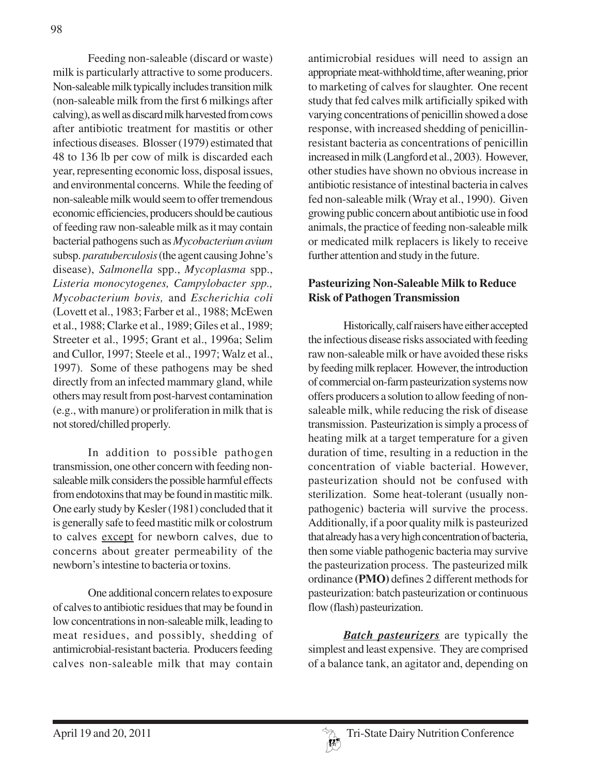Feeding non-saleable (discard or waste) milk is particularly attractive to some producers. Non-saleable milk typically includes transition milk (non-saleable milk from the first 6 milkings after calving), as well as discard milk harvested from cows after antibiotic treatment for mastitis or other infectious diseases. Blosser (1979) estimated that 48 to 136 lb per cow of milk is discarded each year, representing economic loss, disposal issues, and environmental concerns. While the feeding of non-saleable milk would seem to offer tremendous economic efficiencies, producers should be cautious of feeding raw non-saleable milk as it may contain bacterial pathogens such as *Mycobacterium avium* subsp. *paratuberculosis* (the agent causing Johne's disease), *Salmonella* spp., *Mycoplasma* spp., *Listeria monocytogenes, Campylobacter spp., Mycobacterium bovis,* and *Escherichia coli* (Lovett et al., 1983; Farber et al., 1988; McEwen et al., 1988; Clarke et al., 1989; Giles et al., 1989; Streeter et al., 1995; Grant et al., 1996a; Selim and Cullor, 1997; Steele et al., 1997; Walz et al., 1997). Some of these pathogens may be shed directly from an infected mammary gland, while others may result from post-harvest contamination (e.g., with manure) or proliferation in milk that is not stored/chilled properly.

In addition to possible pathogen transmission, one other concern with feeding nonsaleable milk considers the possible harmful effects from endotoxins that may be found in mastitic milk. One early study by Kesler (1981) concluded that it is generally safe to feed mastitic milk or colostrum to calves except for newborn calves, due to concerns about greater permeability of the newborn's intestine to bacteria or toxins.

One additional concern relates to exposure of calves to antibiotic residues that may be found in low concentrations in non-saleable milk, leading to meat residues, and possibly, shedding of antimicrobial-resistant bacteria. Producers feeding calves non-saleable milk that may contain

antimicrobial residues will need to assign an appropriate meat-withhold time, after weaning, prior to marketing of calves for slaughter. One recent study that fed calves milk artificially spiked with varying concentrations of penicillin showed a dose response, with increased shedding of penicillinresistant bacteria as concentrations of penicillin increased in milk (Langford et al., 2003). However, other studies have shown no obvious increase in antibiotic resistance of intestinal bacteria in calves fed non-saleable milk (Wray et al., 1990). Given growing public concern about antibiotic use in food animals, the practice of feeding non-saleable milk or medicated milk replacers is likely to receive further attention and study in the future.

### **Pasteurizing Non-Saleable Milk to Reduce Risk of Pathogen Transmission**

Historically, calf raisers have either accepted the infectious disease risks associated with feeding raw non-saleable milk or have avoided these risks by feeding milk replacer. However, the introduction of commercial on-farm pasteurization systems now offers producers a solution to allow feeding of nonsaleable milk, while reducing the risk of disease transmission. Pasteurization is simply a process of heating milk at a target temperature for a given duration of time, resulting in a reduction in the concentration of viable bacterial. However, pasteurization should not be confused with sterilization. Some heat-tolerant (usually nonpathogenic) bacteria will survive the process. Additionally, if a poor quality milk is pasteurized that already has a very high concentration of bacteria, then some viable pathogenic bacteria may survive the pasteurization process. The pasteurized milk ordinance **(PMO)** defines 2 different methods for pasteurization: batch pasteurization or continuous flow (flash) pasteurization.

*Batch pasteurizers* are typically the simplest and least expensive. They are comprised of a balance tank, an agitator and, depending on

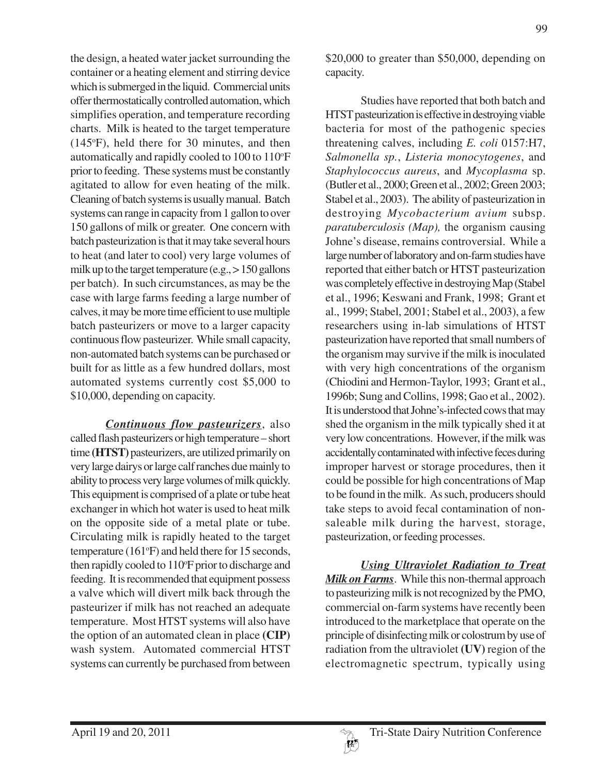the design, a heated water jacket surrounding the container or a heating element and stirring device which is submerged in the liquid. Commercial units offer thermostatically controlled automation, which simplifies operation, and temperature recording charts. Milk is heated to the target temperature (145°F), held there for 30 minutes, and then automatically and rapidly cooled to  $100$  to  $110^{\circ}$ F prior to feeding. These systems must be constantly agitated to allow for even heating of the milk. Cleaning of batch systems is usually manual. Batch systems can range in capacity from 1 gallon to over 150 gallons of milk or greater. One concern with batch pasteurization is that it may take several hours to heat (and later to cool) very large volumes of milk up to the target temperature (e.g., > 150 gallons per batch). In such circumstances, as may be the case with large farms feeding a large number of calves, it may be more time efficient to use multiple batch pasteurizers or move to a larger capacity continuous flow pasteurizer. While small capacity, non-automated batch systems can be purchased or built for as little as a few hundred dollars, most automated systems currently cost \$5,000 to \$10,000, depending on capacity.

*Continuous flow pasteurizers*, also called flash pasteurizers or high temperature – short time **(HTST)** pasteurizers, are utilized primarily on very large dairys or large calf ranches due mainly to ability to process very large volumes of milk quickly. This equipment is comprised of a plate or tube heat exchanger in which hot water is used to heat milk on the opposite side of a metal plate or tube. Circulating milk is rapidly heated to the target temperature (161°F) and held there for 15 seconds, then rapidly cooled to 110°F prior to discharge and feeding. It is recommended that equipment possess a valve which will divert milk back through the pasteurizer if milk has not reached an adequate temperature. Most HTST systems will also have the option of an automated clean in place **(CIP)** wash system. Automated commercial HTST systems can currently be purchased from between

\$20,000 to greater than \$50,000, depending on capacity.

Studies have reported that both batch and HTST pasteurization is effective in destroying viable bacteria for most of the pathogenic species threatening calves, including *E. coli* 0157:H7, *Salmonella sp.*, *Listeria monocytogenes*, and *Staphylococcus aureus*, and *Mycoplasma* sp. (Butler et al., 2000; Green et al., 2002; Green 2003; Stabel et al., 2003). The ability of pasteurization in destroying *Mycobacterium avium* subsp. *paratuberculosis (Map),* the organism causing Johne's disease, remains controversial. While a large number of laboratory and on-farm studies have reported that either batch or HTST pasteurization was completely effective in destroying Map (Stabel et al., 1996; Keswani and Frank, 1998; Grant et al., 1999; Stabel, 2001; Stabel et al., 2003), a few researchers using in-lab simulations of HTST pasteurization have reported that small numbers of the organism may survive if the milk is inoculated with very high concentrations of the organism (Chiodini and Hermon-Taylor, 1993; Grant et al., 1996b; Sung and Collins, 1998; Gao et al., 2002). It is understood that Johne's-infected cows that may shed the organism in the milk typically shed it at very low concentrations. However, if the milk was accidentally contaminated with infective feces during improper harvest or storage procedures, then it could be possible for high concentrations of Map to be found in the milk. As such, producers should take steps to avoid fecal contamination of nonsaleable milk during the harvest, storage, pasteurization, or feeding processes.

*Using Ultraviolet Radiation to Treat Milk on Farms*. While this non-thermal approach to pasteurizing milk is not recognized by the PMO, commercial on-farm systems have recently been introduced to the marketplace that operate on the principle of disinfecting milk or colostrum by use of radiation from the ultraviolet **(UV)** region of the electromagnetic spectrum, typically using

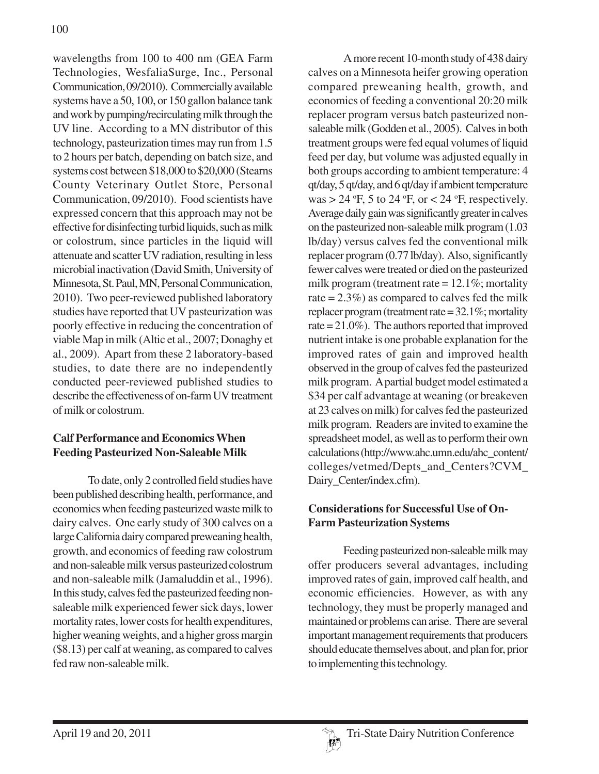wavelengths from 100 to 400 nm (GEA Farm Technologies, WesfaliaSurge, Inc., Personal Communication, 09/2010). Commercially available systems have a 50, 100, or 150 gallon balance tank and work by pumping/recirculating milk through the UV line. According to a MN distributor of this technology, pasteurization times may run from 1.5 to 2 hours per batch, depending on batch size, and systems cost between \$18,000 to \$20,000 (Stearns County Veterinary Outlet Store, Personal Communication, 09/2010). Food scientists have expressed concern that this approach may not be effective for disinfecting turbid liquids, such as milk or colostrum, since particles in the liquid will attenuate and scatter UV radiation, resulting in less microbial inactivation (David Smith, University of Minnesota, St. Paul, MN, Personal Communication, 2010). Two peer-reviewed published laboratory studies have reported that UV pasteurization was poorly effective in reducing the concentration of viable Map in milk (Altic et al., 2007; Donaghy et al., 2009). Apart from these 2 laboratory-based studies, to date there are no independently conducted peer-reviewed published studies to describe the effectiveness of on-farm UV treatment of milk or colostrum.

## **Calf Performance and Economics When Feeding Pasteurized Non-Saleable Milk**

To date, only 2 controlled field studies have been published describing health, performance, and economics when feeding pasteurized waste milk to dairy calves. One early study of 300 calves on a large California dairy compared preweaning health, growth, and economics of feeding raw colostrum and non-saleable milk versus pasteurized colostrum and non-saleable milk (Jamaluddin et al., 1996). In this study, calves fed the pasteurized feeding nonsaleable milk experienced fewer sick days, lower mortality rates, lower costs for health expenditures, higher weaning weights, and a higher gross margin (\$8.13) per calf at weaning, as compared to calves fed raw non-saleable milk.

A more recent 10-month study of 438 dairy calves on a Minnesota heifer growing operation compared preweaning health, growth, and economics of feeding a conventional 20:20 milk replacer program versus batch pasteurized nonsaleable milk (Godden et al., 2005). Calves in both treatment groups were fed equal volumes of liquid feed per day, but volume was adjusted equally in both groups according to ambient temperature: 4 qt/day, 5 qt/day, and 6 qt/day if ambient temperature was > 24 °F, 5 to 24 °F, or < 24 °F, respectively. Average daily gain was significantly greater in calves on the pasteurized non-saleable milk program (1.03 lb/day) versus calves fed the conventional milk replacer program (0.77 lb/day). Also, significantly fewer calves were treated or died on the pasteurized milk program (treatment rate = 12.1%; mortality rate  $= 2.3\%$ ) as compared to calves fed the milk replacer program (treatment rate = 32.1%; mortality rate = 21.0%). The authors reported that improved nutrient intake is one probable explanation for the improved rates of gain and improved health observed in the group of calves fed the pasteurized milk program. A partial budget model estimated a \$34 per calf advantage at weaning (or breakeven at 23 calves on milk) for calves fed the pasteurized milk program. Readers are invited to examine the spreadsheet model, as well as to perform their own calculations (http://www.ahc.umn.edu/ahc\_content/ colleges/vetmed/Depts\_and\_Centers?CVM\_ Dairy Center/index.cfm).

## **Considerations for Successful Use of On-Farm Pasteurization Systems**

Feeding pasteurized non-saleable milk may offer producers several advantages, including improved rates of gain, improved calf health, and economic efficiencies. However, as with any technology, they must be properly managed and maintained or problems can arise. There are several important management requirements that producers should educate themselves about, and plan for, prior to implementing this technology.

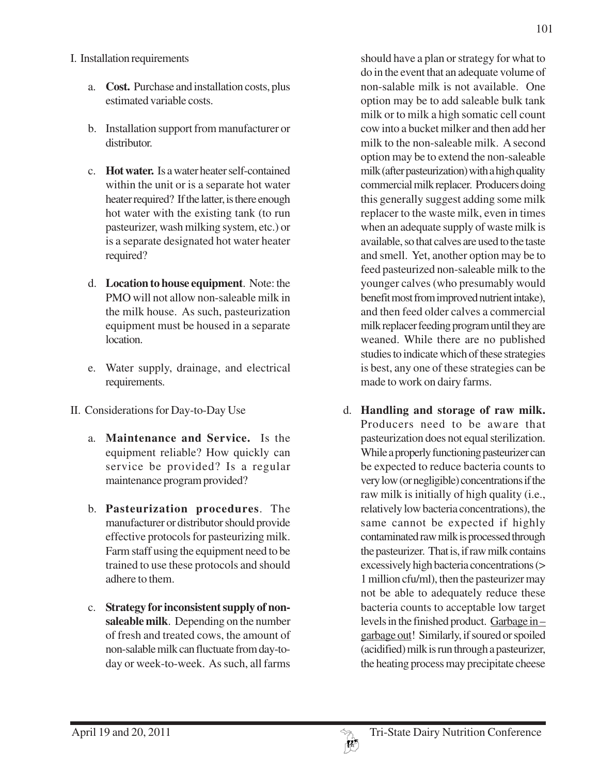#### I. Installation requirements

- a. **Cost.** Purchase and installation costs, plus estimated variable costs.
- b. Installation support from manufacturer or distributor.
- c. **Hot water.** Is a water heater self-contained within the unit or is a separate hot water heater required? If the latter, is there enough hot water with the existing tank (to run pasteurizer, wash milking system, etc.) or is a separate designated hot water heater required?
- d. **Location to house equipment**. Note: the PMO will not allow non-saleable milk in the milk house. As such, pasteurization equipment must be housed in a separate location.
- e. Water supply, drainage, and electrical requirements.
- II. Considerations for Day-to-Day Use
	- a. **Maintenance and Service.** Is the equipment reliable? How quickly can service be provided? Is a regular maintenance program provided?
	- b. **Pasteurization procedures**. The manufacturer or distributor should provide effective protocols for pasteurizing milk. Farm staff using the equipment need to be trained to use these protocols and should adhere to them.
	- c. **Strategy for inconsistent supply of nonsaleable milk**. Depending on the number of fresh and treated cows, the amount of non-salable milk can fluctuate from day-today or week-to-week. As such, all farms

should have a plan or strategy for what to do in the event that an adequate volume of non-salable milk is not available. One option may be to add saleable bulk tank milk or to milk a high somatic cell count cow into a bucket milker and then add her milk to the non-saleable milk. A second option may be to extend the non-saleable milk (after pasteurization) with a high quality commercial milk replacer. Producers doing this generally suggest adding some milk replacer to the waste milk, even in times when an adequate supply of waste milk is available, so that calves are used to the taste and smell. Yet, another option may be to feed pasteurized non-saleable milk to the younger calves (who presumably would benefit most from improved nutrient intake), and then feed older calves a commercial milk replacer feeding program until they are weaned. While there are no published studies to indicate which of these strategies is best, any one of these strategies can be made to work on dairy farms.

d. **Handling and storage of raw milk.** Producers need to be aware that pasteurization does not equal sterilization. While a properly functioning pasteurizer can be expected to reduce bacteria counts to very low (or negligible) concentrations if the raw milk is initially of high quality (i.e., relatively low bacteria concentrations), the same cannot be expected if highly contaminated raw milk is processed through the pasteurizer. That is, if raw milk contains excessively high bacteria concentrations (> 1 million cfu/ml), then the pasteurizer may not be able to adequately reduce these bacteria counts to acceptable low target levels in the finished product. Garbage in – garbage out! Similarly, if soured or spoiled (acidified) milk is run through a pasteurizer, the heating process may precipitate cheese

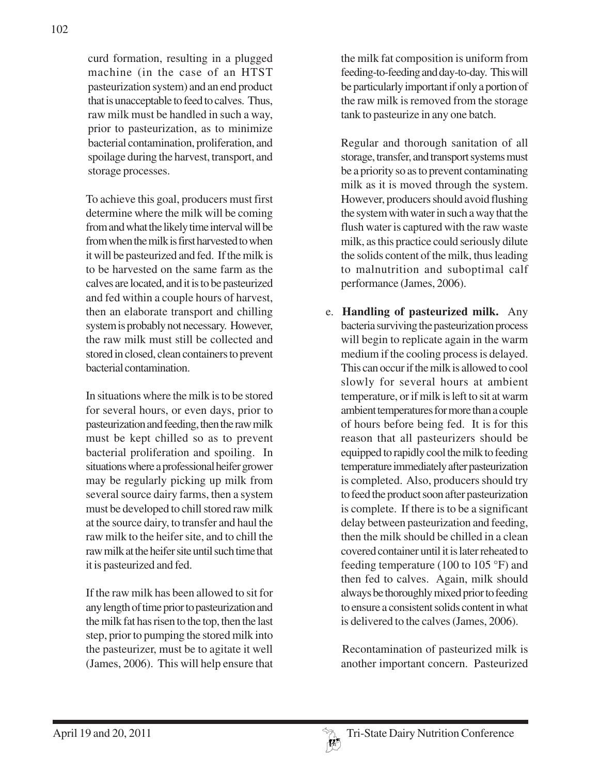curd formation, resulting in a plugged machine (in the case of an HTST pasteurization system) and an end product that is unacceptable to feed to calves. Thus, raw milk must be handled in such a way, prior to pasteurization, as to minimize bacterial contamination, proliferation, and spoilage during the harvest, transport, and storage processes.

To achieve this goal, producers must first determine where the milk will be coming from and what the likely time interval will be from when the milk is first harvested to when it will be pasteurized and fed. If the milk is to be harvested on the same farm as the calves are located, and it is to be pasteurized and fed within a couple hours of harvest, then an elaborate transport and chilling system is probably not necessary. However, the raw milk must still be collected and stored in closed, clean containers to prevent bacterial contamination.

In situations where the milk is to be stored for several hours, or even days, prior to pasteurization and feeding, then the raw milk must be kept chilled so as to prevent bacterial proliferation and spoiling. In situations where a professional heifer grower may be regularly picking up milk from several source dairy farms, then a system must be developed to chill stored raw milk at the source dairy, to transfer and haul the raw milk to the heifer site, and to chill the raw milk at the heifer site until such time that it is pasteurized and fed.

If the raw milk has been allowed to sit for any length of time prior to pasteurization and the milk fat has risen to the top, then the last step, prior to pumping the stored milk into the pasteurizer, must be to agitate it well (James, 2006). This will help ensure that

the milk fat composition is uniform from feeding-to-feeding and day-to-day. This will be particularly important if only a portion of the raw milk is removed from the storage tank to pasteurize in any one batch.

Regular and thorough sanitation of all storage, transfer, and transport systems must be a priority so as to prevent contaminating milk as it is moved through the system. However, producers should avoid flushing the system with water in such a way that the flush water is captured with the raw waste milk, as this practice could seriously dilute the solids content of the milk, thus leading to malnutrition and suboptimal calf performance (James, 2006).

e. **Handling of pasteurized milk.** Any bacteria surviving the pasteurization process will begin to replicate again in the warm medium if the cooling process is delayed. This can occur if the milk is allowed to cool slowly for several hours at ambient temperature, or if milk is left to sit at warm ambient temperatures for more than a couple of hours before being fed. It is for this reason that all pasteurizers should be equipped to rapidly cool the milk to feeding temperature immediately after pasteurization is completed. Also, producers should try to feed the product soon after pasteurization is complete. If there is to be a significant delay between pasteurization and feeding, then the milk should be chilled in a clean covered container until it is later reheated to feeding temperature (100 to 105 °F) and then fed to calves. Again, milk should always be thoroughly mixed prior to feeding to ensure a consistent solids content in what is delivered to the calves (James, 2006).

Recontamination of pasteurized milk is another important concern. Pasteurized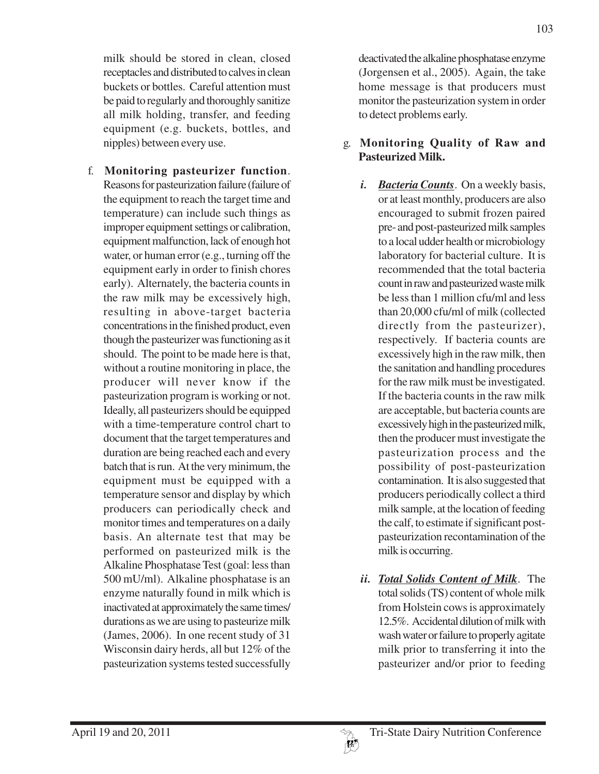milk should be stored in clean, closed receptacles and distributed to calves in clean buckets or bottles. Careful attention must be paid to regularly and thoroughly sanitize all milk holding, transfer, and feeding equipment (e.g. buckets, bottles, and nipples) between every use.

f. **Monitoring pasteurizer function**. Reasons for pasteurization failure (failure of the equipment to reach the target time and temperature) can include such things as improper equipment settings or calibration, equipment malfunction, lack of enough hot water, or human error (e.g., turning off the equipment early in order to finish chores early). Alternately, the bacteria counts in the raw milk may be excessively high, resulting in above-target bacteria concentrations in the finished product, even though the pasteurizer was functioning as it should. The point to be made here is that, without a routine monitoring in place, the producer will never know if the pasteurization program is working or not. Ideally, all pasteurizers should be equipped with a time-temperature control chart to document that the target temperatures and duration are being reached each and every batch that is run. At the very minimum, the equipment must be equipped with a temperature sensor and display by which producers can periodically check and monitor times and temperatures on a daily basis. An alternate test that may be performed on pasteurized milk is the Alkaline Phosphatase Test (goal: less than 500 mU/ml). Alkaline phosphatase is an enzyme naturally found in milk which is inactivated at approximately the same times/ durations as we are using to pasteurize milk (James, 2006). In one recent study of 31 Wisconsin dairy herds, all but 12% of the pasteurization systems tested successfully

deactivated the alkaline phosphatase enzyme (Jorgensen et al., 2005). Again, the take home message is that producers must monitor the pasteurization system in order to detect problems early.

### g. **Monitoring Quality of Raw and Pasteurized Milk.**

- *i. Bacteria Counts*. On a weekly basis, or at least monthly, producers are also encouraged to submit frozen paired pre- and post-pasteurized milk samples to a local udder health or microbiology laboratory for bacterial culture. It is recommended that the total bacteria count in raw and pasteurized waste milk be less than 1 million cfu/ml and less than 20,000 cfu/ml of milk (collected directly from the pasteurizer), respectively. If bacteria counts are excessively high in the raw milk, then the sanitation and handling procedures for the raw milk must be investigated. If the bacteria counts in the raw milk are acceptable, but bacteria counts are excessively high in the pasteurized milk, then the producer must investigate the pasteurization process and the possibility of post-pasteurization contamination. It is also suggested that producers periodically collect a third milk sample, at the location of feeding the calf, to estimate if significant postpasteurization recontamination of the milk is occurring.
- *ii. Total Solids Content of Milk*. The total solids (TS) content of whole milk from Holstein cows is approximately 12.5%. Accidental dilution of milk with wash water or failure to properly agitate milk prior to transferring it into the pasteurizer and/or prior to feeding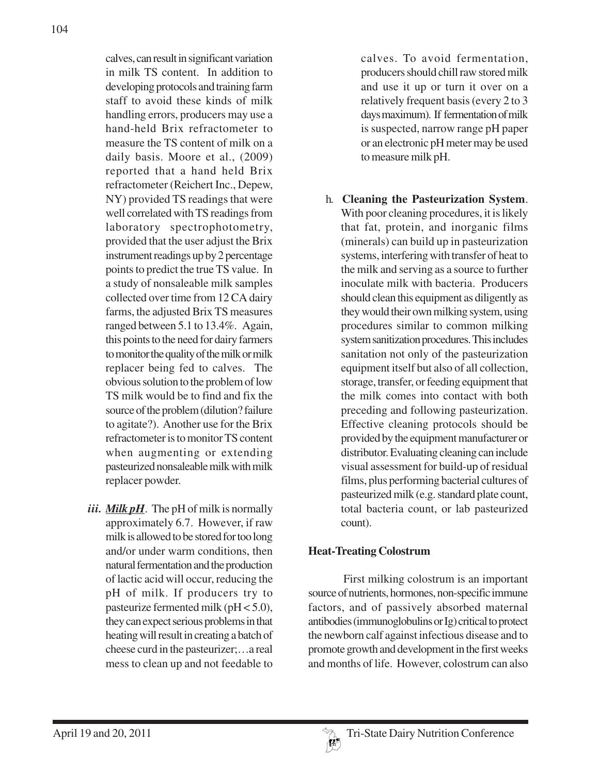calves, can result in significant variation in milk TS content. In addition to developing protocols and training farm staff to avoid these kinds of milk handling errors, producers may use a hand-held Brix refractometer to measure the TS content of milk on a daily basis. Moore et al., (2009) reported that a hand held Brix refractometer (Reichert Inc., Depew, NY) provided TS readings that were well correlated with TS readings from laboratory spectrophotometry, provided that the user adjust the Brix instrument readings up by 2 percentage points to predict the true TS value. In a study of nonsaleable milk samples collected over time from 12 CA dairy farms, the adjusted Brix TS measures ranged between 5.1 to 13.4%. Again, this points to the need for dairy farmers to monitor the quality of the milk or milk replacer being fed to calves. The obvious solution to the problem of low TS milk would be to find and fix the source of the problem (dilution? failure to agitate?). Another use for the Brix refractometer is to monitor TS content when augmenting or extending pasteurized nonsaleable milk with milk replacer powder.

*iii. Milk pH*. The pH of milk is normally approximately 6.7. However, if raw milk is allowed to be stored for too long and/or under warm conditions, then natural fermentation and the production of lactic acid will occur, reducing the pH of milk. If producers try to pasteurize fermented milk (pH < 5.0), they can expect serious problems in that heating will result in creating a batch of cheese curd in the pasteurizer;…a real mess to clean up and not feedable to

calves. To avoid fermentation, producers should chill raw stored milk and use it up or turn it over on a relatively frequent basis (every 2 to 3 days maximum). If fermentation of milk is suspected, narrow range pH paper or an electronic pH meter may be used to measure milk pH.

h. **Cleaning the Pasteurization System**. With poor cleaning procedures, it is likely that fat, protein, and inorganic films (minerals) can build up in pasteurization systems, interfering with transfer of heat to the milk and serving as a source to further inoculate milk with bacteria. Producers should clean this equipment as diligently as they would their own milking system, using procedures similar to common milking system sanitization procedures. This includes sanitation not only of the pasteurization equipment itself but also of all collection, storage, transfer, or feeding equipment that the milk comes into contact with both preceding and following pasteurization. Effective cleaning protocols should be provided by the equipment manufacturer or distributor. Evaluating cleaning can include visual assessment for build-up of residual films, plus performing bacterial cultures of pasteurized milk (e.g. standard plate count, total bacteria count, or lab pasteurized count).

### **Heat-Treating Colostrum**

First milking colostrum is an important source of nutrients, hormones, non-specific immune factors, and of passively absorbed maternal antibodies (immunoglobulins or Ig) critical to protect the newborn calf against infectious disease and to promote growth and development in the first weeks and months of life. However, colostrum can also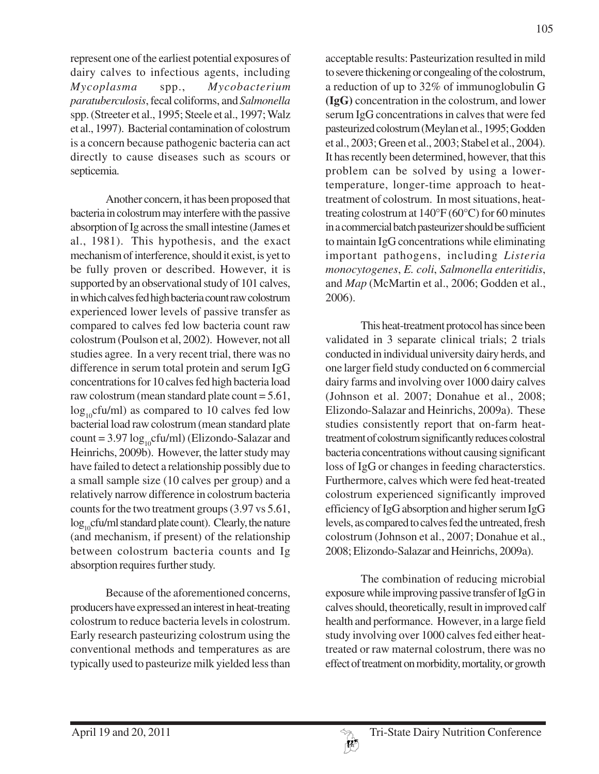represent one of the earliest potential exposures of dairy calves to infectious agents, including *Mycoplasma* spp., *Mycobacterium paratuberculosis*, fecal coliforms, and *Salmonella* spp. (Streeter et al., 1995; Steele et al., 1997; Walz et al., 1997). Bacterial contamination of colostrum is a concern because pathogenic bacteria can act directly to cause diseases such as scours or septicemia.

Another concern, it has been proposed that bacteria in colostrum may interfere with the passive absorption of Ig across the small intestine (James et al., 1981). This hypothesis, and the exact mechanism of interference, should it exist, is yet to be fully proven or described. However, it is supported by an observational study of 101 calves, in which calves fed high bacteria count raw colostrum experienced lower levels of passive transfer as compared to calves fed low bacteria count raw colostrum (Poulson et al, 2002). However, not all studies agree. In a very recent trial, there was no difference in serum total protein and serum IgG concentrations for 10 calves fed high bacteria load raw colostrum (mean standard plate count = 5.61,  $log_{10}$ cfu/ml) as compared to 10 calves fed low bacterial load raw colostrum (mean standard plate count =  $3.97 \log_{10}$ cfu/ml) (Elizondo-Salazar and Heinrichs, 2009b). However, the latter study may have failed to detect a relationship possibly due to a small sample size (10 calves per group) and a relatively narrow difference in colostrum bacteria counts for the two treatment groups (3.97 vs 5.61,  $log_{10}$ cfu/ml standard plate count). Clearly, the nature (and mechanism, if present) of the relationship between colostrum bacteria counts and Ig absorption requires further study.

Because of the aforementioned concerns, producers have expressed an interest in heat-treating colostrum to reduce bacteria levels in colostrum. Early research pasteurizing colostrum using the conventional methods and temperatures as are typically used to pasteurize milk yielded less than acceptable results: Pasteurization resulted in mild to severe thickening or congealing of the colostrum, a reduction of up to 32% of immunoglobulin G **(IgG)** concentration in the colostrum, and lower serum IgG concentrations in calves that were fed pasteurized colostrum (Meylan et al., 1995; Godden et al., 2003; Green et al., 2003; Stabel et al., 2004). It has recently been determined, however, that this problem can be solved by using a lowertemperature, longer-time approach to heattreatment of colostrum. In most situations, heattreating colostrum at 140°F (60°C) for 60 minutes in a commercial batch pasteurizer should be sufficient to maintain IgG concentrations while eliminating important pathogens, including *Listeria monocytogenes*, *E. coli*, *Salmonella enteritidis*, and *Map* (McMartin et al., 2006; Godden et al., 2006).

This heat-treatment protocol has since been validated in 3 separate clinical trials; 2 trials conducted in individual university dairy herds, and one larger field study conducted on 6 commercial dairy farms and involving over 1000 dairy calves (Johnson et al. 2007; Donahue et al., 2008; Elizondo-Salazar and Heinrichs, 2009a). These studies consistently report that on-farm heattreatment of colostrum significantly reduces colostral bacteria concentrations without causing significant loss of IgG or changes in feeding characterstics. Furthermore, calves which were fed heat-treated colostrum experienced significantly improved efficiency of IgG absorption and higher serum IgG levels, as compared to calves fed the untreated, fresh colostrum (Johnson et al., 2007; Donahue et al., 2008; Elizondo-Salazar and Heinrichs, 2009a).

The combination of reducing microbial exposure while improving passive transfer of IgG in calves should, theoretically, result in improved calf health and performance. However, in a large field study involving over 1000 calves fed either heattreated or raw maternal colostrum, there was no effect of treatment on morbidity, mortality, or growth

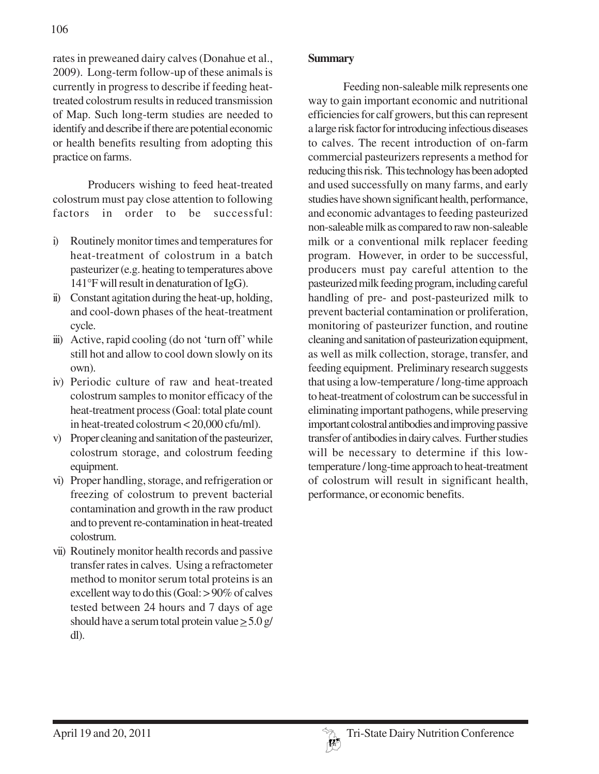rates in preweaned dairy calves (Donahue et al., 2009). Long-term follow-up of these animals is currently in progress to describe if feeding heattreated colostrum results in reduced transmission of Map. Such long-term studies are needed to identify and describe if there are potential economic or health benefits resulting from adopting this practice on farms.

Producers wishing to feed heat-treated colostrum must pay close attention to following factors in order to be successful:

- i) Routinely monitor times and temperatures for heat-treatment of colostrum in a batch pasteurizer (e.g. heating to temperatures above 141°F will result in denaturation of IgG).
- ii) Constant agitation during the heat-up, holding, and cool-down phases of the heat-treatment cycle.
- iii) Active, rapid cooling (do not 'turn off' while still hot and allow to cool down slowly on its own).
- iv) Periodic culture of raw and heat-treated colostrum samples to monitor efficacy of the heat-treatment process (Goal: total plate count in heat-treated colostrum < 20,000 cfu/ml).
- v) Proper cleaning and sanitation of the pasteurizer, colostrum storage, and colostrum feeding equipment.
- vi) Proper handling, storage, and refrigeration or freezing of colostrum to prevent bacterial contamination and growth in the raw product and to prevent re-contamination in heat-treated colostrum.
- vii) Routinely monitor health records and passive transfer rates in calves. Using a refractometer method to monitor serum total proteins is an excellent way to do this (Goal: > 90% of calves tested between 24 hours and 7 days of age should have a serum total protein value > 5.0 g/ dl).

### **Summary**

Feeding non-saleable milk represents one way to gain important economic and nutritional efficiencies for calf growers, but this can represent a large risk factor for introducing infectious diseases to calves. The recent introduction of on-farm commercial pasteurizers represents a method for reducing this risk. This technology has been adopted and used successfully on many farms, and early studies have shown significant health, performance, and economic advantages to feeding pasteurized non-saleable milk as compared to raw non-saleable milk or a conventional milk replacer feeding program. However, in order to be successful, producers must pay careful attention to the pasteurized milk feeding program, including careful handling of pre- and post-pasteurized milk to prevent bacterial contamination or proliferation, monitoring of pasteurizer function, and routine cleaning and sanitation of pasteurization equipment, as well as milk collection, storage, transfer, and feeding equipment. Preliminary research suggests that using a low-temperature / long-time approach to heat-treatment of colostrum can be successful in eliminating important pathogens, while preserving important colostral antibodies and improving passive transfer of antibodies in dairy calves. Further studies will be necessary to determine if this lowtemperature / long-time approach to heat-treatment of colostrum will result in significant health, performance, or economic benefits.

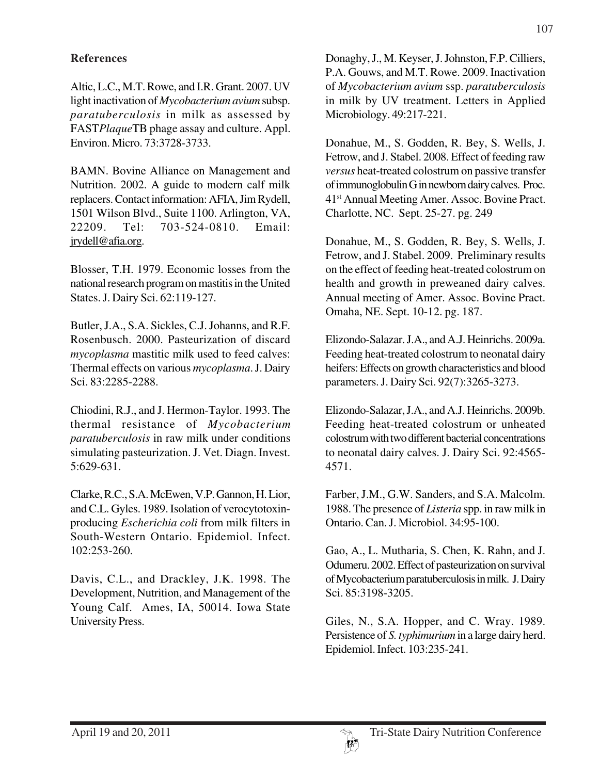### **References**

Altic, L.C., M.T. Rowe, and I.R. Grant. 2007. UV light inactivation of *Mycobacterium avium* subsp. *paratuberculosis* in milk as assessed by FAST*Plaque*TB phage assay and culture. Appl. Environ. Micro. 73:3728-3733.

BAMN. Bovine Alliance on Management and Nutrition. 2002. A guide to modern calf milk replacers. Contact information: AFIA, Jim Rydell, 1501 Wilson Blvd., Suite 1100. Arlington, VA, 22209. Tel: 703-524-0810. Email: jrydell@afia.org.

Blosser, T.H. 1979. Economic losses from the national research program on mastitis in the United States. J. Dairy Sci. 62:119-127.

Butler, J.A., S.A. Sickles, C.J. Johanns, and R.F. Rosenbusch. 2000. Pasteurization of discard *mycoplasma* mastitic milk used to feed calves: Thermal effects on various *mycoplasma*. J. Dairy Sci. 83:2285-2288.

Chiodini, R.J., and J. Hermon-Taylor. 1993. The thermal resistance of *Mycobacterium paratuberculosis* in raw milk under conditions simulating pasteurization. J. Vet. Diagn. Invest. 5:629-631.

Clarke, R.C., S.A. McEwen, V.P. Gannon, H. Lior, and C.L. Gyles. 1989. Isolation of verocytotoxinproducing *Escherichia coli* from milk filters in South-Western Ontario. Epidemiol. Infect. 102:253-260.

Davis, C.L., and Drackley, J.K. 1998. The Development, Nutrition, and Management of the Young Calf. Ames, IA, 50014. Iowa State University Press.

Donaghy, J., M. Keyser, J. Johnston, F.P. Cilliers, P.A. Gouws, and M.T. Rowe. 2009. Inactivation of *Mycobacterium avium* ssp. *paratuberculosis* in milk by UV treatment. Letters in Applied Microbiology. 49:217-221.

Donahue, M., S. Godden, R. Bey, S. Wells, J. Fetrow, and J. Stabel. 2008. Effect of feeding raw *versus* heat-treated colostrum on passive transfer of immunoglobulin G in newborn dairy calves. Proc. 41st Annual Meeting Amer. Assoc. Bovine Pract. Charlotte, NC. Sept. 25-27. pg. 249

Donahue, M., S. Godden, R. Bey, S. Wells, J. Fetrow, and J. Stabel. 2009. Preliminary results on the effect of feeding heat-treated colostrum on health and growth in preweaned dairy calves. Annual meeting of Amer. Assoc. Bovine Pract. Omaha, NE. Sept. 10-12. pg. 187.

Elizondo-Salazar. J.A., and A.J. Heinrichs. 2009a. Feeding heat-treated colostrum to neonatal dairy heifers: Effects on growth characteristics and blood parameters. J. Dairy Sci. 92(7):3265-3273.

Elizondo-Salazar, J.A., and A.J. Heinrichs. 2009b. Feeding heat-treated colostrum or unheated colostrum with two different bacterial concentrations to neonatal dairy calves. J. Dairy Sci. 92:4565- 4571.

Farber, J.M., G.W. Sanders, and S.A. Malcolm. 1988. The presence of *Listeria* spp. in raw milk in Ontario. Can. J. Microbiol. 34:95-100.

Gao, A., L. Mutharia, S. Chen, K. Rahn, and J. Odumeru. 2002. Effect of pasteurization on survival of Mycobacterium paratuberculosis in milk. J. Dairy Sci. 85:3198-3205.

Giles, N., S.A. Hopper, and C. Wray. 1989. Persistence of *S. typhimurium* in a large dairy herd. Epidemiol. Infect. 103:235-241.

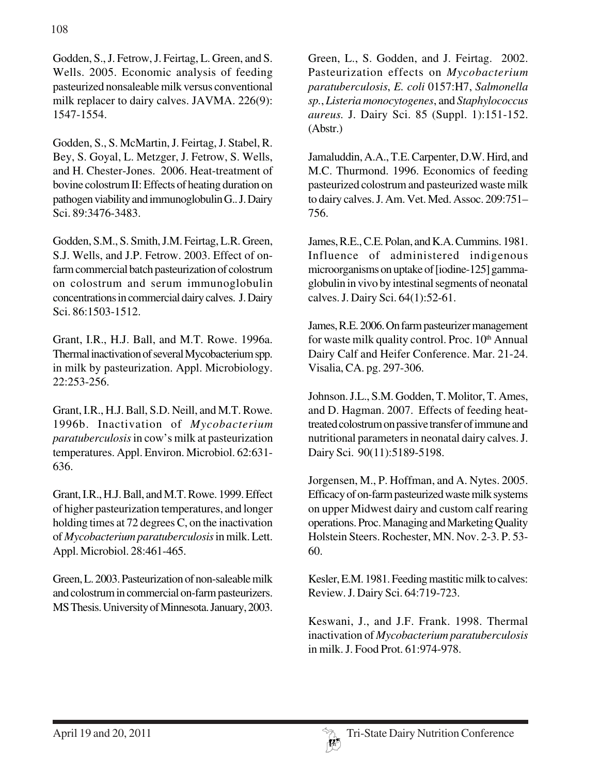Godden, S., J. Fetrow, J. Feirtag, L. Green, and S. Wells. 2005. Economic analysis of feeding pasteurized nonsaleable milk versus conventional milk replacer to dairy calves. JAVMA. 226(9): 1547-1554.

Godden, S., S. McMartin, J. Feirtag, J. Stabel, R. Bey, S. Goyal, L. Metzger, J. Fetrow, S. Wells, and H. Chester-Jones. 2006. Heat-treatment of bovine colostrum II: Effects of heating duration on pathogen viability and immunoglobulin G.. J. Dairy Sci. 89:3476-3483.

Godden, S.M., S. Smith, J.M. Feirtag, L.R. Green, S.J. Wells, and J.P. Fetrow. 2003. Effect of onfarm commercial batch pasteurization of colostrum on colostrum and serum immunoglobulin concentrations in commercial dairy calves. J. Dairy Sci. 86:1503-1512.

Grant, I.R., H.J. Ball, and M.T. Rowe. 1996a. Thermal inactivation of several Mycobacterium spp. in milk by pasteurization. Appl. Microbiology. 22:253-256.

Grant, I.R., H.J. Ball, S.D. Neill, and M.T. Rowe. 1996b. Inactivation of *Mycobacterium paratuberculosis* in cow's milk at pasteurization temperatures. Appl. Environ. Microbiol. 62:631- 636.

Grant, I.R., H.J. Ball, and M.T. Rowe. 1999. Effect of higher pasteurization temperatures, and longer holding times at 72 degrees C, on the inactivation of *Mycobacterium paratuberculosis* in milk. Lett. Appl. Microbiol. 28:461-465.

Green, L. 2003. Pasteurization of non-saleable milk and colostrum in commercial on-farm pasteurizers. MS Thesis. University of Minnesota. January, 2003.

Green, L., S. Godden, and J. Feirtag. 2002. Pasteurization effects on *Mycobacterium paratuberculosis*, *E. coli* 0157:H7, *Salmonella sp.*, *Listeria monocytogenes*, and *Staphylococcus aureus.* J. Dairy Sci. 85 (Suppl. 1):151-152. (Abstr.)

Jamaluddin, A.A., T.E. Carpenter, D.W. Hird, and M.C. Thurmond. 1996. Economics of feeding pasteurized colostrum and pasteurized waste milk to dairy calves. J. Am. Vet. Med. Assoc. 209:751– 756.

James, R.E., C.E. Polan, and K.A. Cummins. 1981. Influence of administered indigenous microorganisms on uptake of [iodine-125] gammaglobulin in vivo by intestinal segments of neonatal calves. J. Dairy Sci. 64(1):52-61.

James, R.E. 2006. On farm pasteurizer management for waste milk quality control. Proc.  $10<sup>th</sup>$  Annual Dairy Calf and Heifer Conference. Mar. 21-24. Visalia, CA. pg. 297-306.

Johnson. J.L., S.M. Godden, T. Molitor, T. Ames, and D. Hagman. 2007. Effects of feeding heattreated colostrum on passive transfer of immune and nutritional parameters in neonatal dairy calves. J. Dairy Sci. 90(11):5189-5198.

Jorgensen, M., P. Hoffman, and A. Nytes. 2005. Efficacy of on-farm pasteurized waste milk systems on upper Midwest dairy and custom calf rearing operations. Proc. Managing and Marketing Quality Holstein Steers. Rochester, MN. Nov. 2-3. P. 53- 60.

Kesler, E.M. 1981. Feeding mastitic milk to calves: Review. J. Dairy Sci. 64:719-723.

Keswani, J., and J.F. Frank. 1998. Thermal inactivation of *Mycobacterium paratuberculosis* in milk. J. Food Prot. 61:974-978.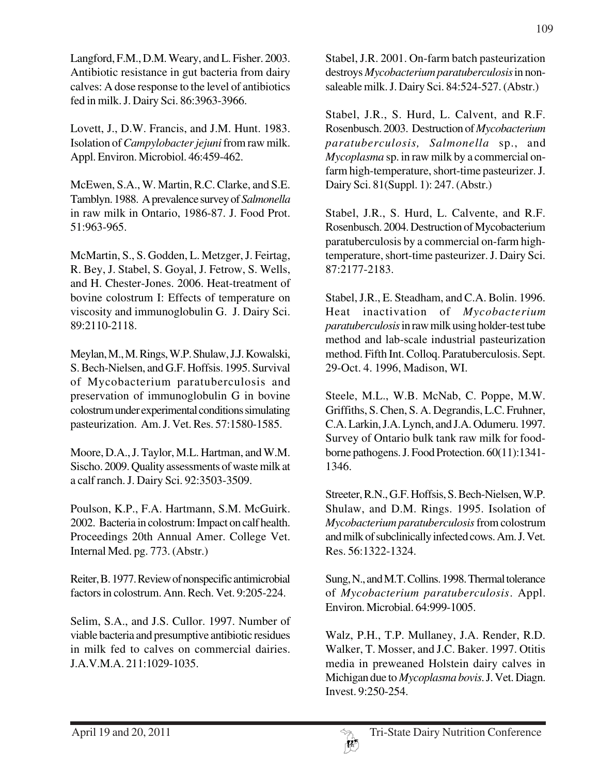Langford, F.M., D.M. Weary, and L. Fisher. 2003. Antibiotic resistance in gut bacteria from dairy calves: A dose response to the level of antibiotics fed in milk. J. Dairy Sci. 86:3963-3966.

Lovett, J., D.W. Francis, and J.M. Hunt. 1983. Isolation of *Campylobacter jejuni* from raw milk. Appl. Environ. Microbiol. 46:459-462.

McEwen, S.A., W. Martin, R.C. Clarke, and S.E. Tamblyn. 1988. A prevalence survey of *Salmonella* in raw milk in Ontario, 1986-87. J. Food Prot. 51:963-965.

McMartin, S., S. Godden, L. Metzger, J. Feirtag, R. Bey, J. Stabel, S. Goyal, J. Fetrow, S. Wells, and H. Chester-Jones. 2006. Heat-treatment of bovine colostrum I: Effects of temperature on viscosity and immunoglobulin G. J. Dairy Sci. 89:2110-2118.

Meylan, M., M. Rings, W.P. Shulaw, J.J. Kowalski, S. Bech-Nielsen, and G.F. Hoffsis. 1995. Survival of Mycobacterium paratuberculosis and preservation of immunoglobulin G in bovine colostrum under experimental conditions simulating pasteurization. Am. J. Vet. Res. 57:1580-1585.

Moore, D.A., J. Taylor, M.L. Hartman, and W.M. Sischo. 2009. Quality assessments of waste milk at a calf ranch. J. Dairy Sci. 92:3503-3509.

Poulson, K.P., F.A. Hartmann, S.M. McGuirk. 2002. Bacteria in colostrum: Impact on calf health. Proceedings 20th Annual Amer. College Vet. Internal Med. pg. 773. (Abstr.)

Reiter, B. 1977. Review of nonspecific antimicrobial factors in colostrum. Ann. Rech. Vet. 9:205-224.

Selim, S.A., and J.S. Cullor. 1997. Number of viable bacteria and presumptive antibiotic residues in milk fed to calves on commercial dairies. J.A.V.M.A. 211:1029-1035.

Stabel, J.R. 2001. On-farm batch pasteurization destroys *Mycobacterium paratuberculosis* in nonsaleable milk. J. Dairy Sci. 84:524-527. (Abstr.)

Stabel, J.R., S. Hurd, L. Calvent, and R.F. Rosenbusch. 2003. Destruction of *Mycobacterium paratuberculosis, Salmonella* sp., and *Mycoplasma* sp. in raw milk by a commercial onfarm high-temperature, short-time pasteurizer. J. Dairy Sci. 81(Suppl. 1): 247. (Abstr.)

Stabel, J.R., S. Hurd, L. Calvente, and R.F. Rosenbusch. 2004. Destruction of Mycobacterium paratuberculosis by a commercial on-farm hightemperature, short-time pasteurizer. J. Dairy Sci. 87:2177-2183.

Stabel, J.R., E. Steadham, and C.A. Bolin. 1996. Heat inactivation of *Mycobacterium paratuberculosis* in raw milk using holder-test tube method and lab-scale industrial pasteurization method. Fifth Int. Colloq. Paratuberculosis. Sept. 29-Oct. 4. 1996, Madison, WI.

Steele, M.L., W.B. McNab, C. Poppe, M.W. Griffiths, S. Chen, S. A. Degrandis, L.C. Fruhner, C.A. Larkin, J.A. Lynch, and J.A. Odumeru. 1997. Survey of Ontario bulk tank raw milk for foodborne pathogens. J. Food Protection. 60(11):1341- 1346.

Streeter, R.N., G.F. Hoffsis, S. Bech-Nielsen, W.P. Shulaw, and D.M. Rings. 1995. Isolation of *Mycobacterium paratuberculosis* from colostrum and milk of subclinically infected cows. Am. J. Vet. Res. 56:1322-1324.

Sung, N., and M.T. Collins. 1998. Thermal tolerance of *Mycobacterium paratuberculosis*. Appl. Environ. Microbial. 64:999-1005.

Walz, P.H., T.P. Mullaney, J.A. Render, R.D. Walker, T. Mosser, and J.C. Baker. 1997. Otitis media in preweaned Holstein dairy calves in Michigan due to *Mycoplasma bovis*. J. Vet. Diagn. Invest. 9:250-254.